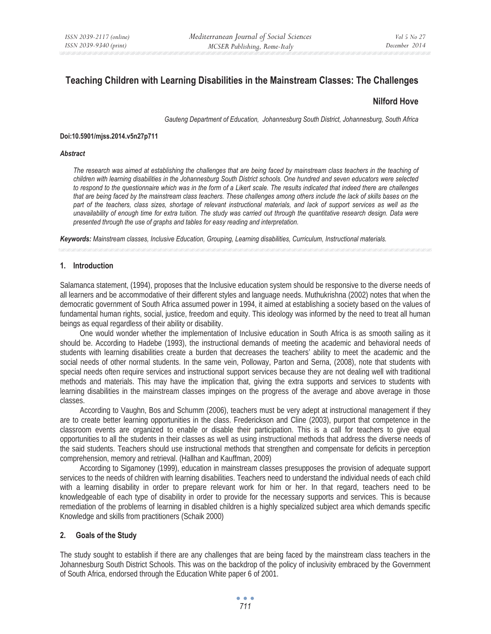# **Teaching Children with Learning Disabilities in the Mainstream Classes: The Challenges**

# **Nilford Hove**

*Gauteng Department of Education, Johannesburg South District, Johannesburg, South Africa* 

#### **Doi:10.5901/mjss.2014.v5n27p711**

#### *Abstract*

The research was aimed at establishing the challenges that are being faced by mainstream class teachers in the teaching of *children with learning disabilities in the Johannesburg South District schools. One hundred and seven educators were selected to respond to the questionnaire which was in the form of a Likert scale. The results indicated that indeed there are challenges that are being faced by the mainstream class teachers. These challenges among others include the lack of skills bases on the part of the teachers, class sizes, shortage of relevant instructional materials, and lack of support services as well as the unavailability of enough time for extra tuition. The study was carried out through the quantitative research design. Data were presented through the use of graphs and tables for easy reading and interpretation.* 

*Keywords: Mainstream classes, Inclusive Education, Grouping, Learning disabilities, Curriculum, Instructional materials.*

#### **1. Introduction**

Salamanca statement, (1994), proposes that the Inclusive education system should be responsive to the diverse needs of all learners and be accommodative of their different styles and language needs. Muthukrishna (2002) notes that when the democratic government of South Africa assumed power in 1994, it aimed at establishing a society based on the values of fundamental human rights, social, justice, freedom and equity. This ideology was informed by the need to treat all human beings as equal regardless of their ability or disability.

One would wonder whether the implementation of Inclusive education in South Africa is as smooth sailing as it should be. According to Hadebe (1993), the instructional demands of meeting the academic and behavioral needs of students with learning disabilities create a burden that decreases the teachers' ability to meet the academic and the social needs of other normal students. In the same vein, Polloway, Parton and Serna, (2008), note that students with special needs often require services and instructional support services because they are not dealing well with traditional methods and materials. This may have the implication that, giving the extra supports and services to students with learning disabilities in the mainstream classes impinges on the progress of the average and above average in those classes.

According to Vaughn, Bos and Schumm (2006), teachers must be very adept at instructional management if they are to create better learning opportunities in the class. Frederickson and Cline (2003), purport that competence in the classroom events are organized to enable or disable their participation. This is a call for teachers to give equal opportunities to all the students in their classes as well as using instructional methods that address the diverse needs of the said students. Teachers should use instructional methods that strengthen and compensate for deficits in perception comprehension, memory and retrieval. (Hallhan and Kauffman, 2009)

According to Sigamoney (1999), education in mainstream classes presupposes the provision of adequate support services to the needs of children with learning disabilities. Teachers need to understand the individual needs of each child with a learning disability in order to prepare relevant work for him or her. In that regard, teachers need to be knowledgeable of each type of disability in order to provide for the necessary supports and services. This is because remediation of the problems of learning in disabled children is a highly specialized subject area which demands specific Knowledge and skills from practitioners (Schaik 2000)

## **2. Goals of the Study**

The study sought to establish if there are any challenges that are being faced by the mainstream class teachers in the Johannesburg South District Schools. This was on the backdrop of the policy of inclusivity embraced by the Government of South Africa, endorsed through the Education White paper 6 of 2001.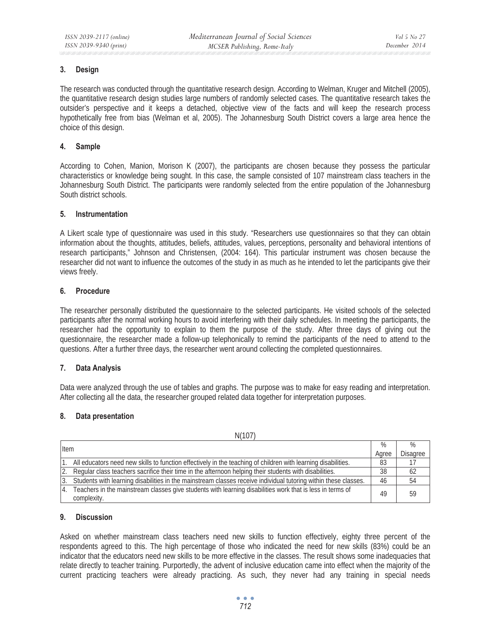# **3. Design**

The research was conducted through the quantitative research design. According to Welman, Kruger and Mitchell (2005), the quantitative research design studies large numbers of randomly selected cases. The quantitative research takes the outsider's perspective and it keeps a detached, objective view of the facts and will keep the research process hypothetically free from bias (Welman et al, 2005). The Johannesburg South District covers a large area hence the choice of this design.

## **4. Sample**

According to Cohen, Manion, Morison K (2007), the participants are chosen because they possess the particular characteristics or knowledge being sought. In this case, the sample consisted of 107 mainstream class teachers in the Johannesburg South District. The participants were randomly selected from the entire population of the Johannesburg South district schools.

# **5. Instrumentation**

A Likert scale type of questionnaire was used in this study. "Researchers use questionnaires so that they can obtain information about the thoughts, attitudes, beliefs, attitudes, values, perceptions, personality and behavioral intentions of research participants," Johnson and Christensen, (2004: 164). This particular instrument was chosen because the researcher did not want to influence the outcomes of the study in as much as he intended to let the participants give their views freely.

# **6. Procedure**

The researcher personally distributed the questionnaire to the selected participants. He visited schools of the selected participants after the normal working hours to avoid interfering with their daily schedules. In meeting the participants, the researcher had the opportunity to explain to them the purpose of the study. After three days of giving out the questionnaire, the researcher made a follow-up telephonically to remind the participants of the need to attend to the questions. After a further three days, the researcher went around collecting the completed questionnaires.

# **7. Data Analysis**

Data were analyzed through the use of tables and graphs. The purpose was to make for easy reading and interpretation. After collecting all the data, the researcher grouped related data together for interpretation purposes.

## **8. Data presentation**

| V            |                                                                                                                          |       |                 |  |  |
|--------------|--------------------------------------------------------------------------------------------------------------------------|-------|-----------------|--|--|
|              |                                                                                                                          | ℅     | $\%$            |  |  |
| <b>I</b> tem |                                                                                                                          | Aaree | <b>Disagree</b> |  |  |
|              | All educators need new skills to function effectively in the teaching of children with learning disabilities.            | 83    |                 |  |  |
| 12.          | Regular class teachers sacrifice their time in the afternoon helping their students with disabilities.                   | 38    | 62              |  |  |
|              | Students with learning disabilities in the mainstream classes receive individual tutoring within these classes.          | 46    | 54              |  |  |
| 14.          | Teachers in the mainstream classes give students with learning disabilities work that is less in terms of<br>complexity. | 49    | 59              |  |  |

N(107)

## **9. Discussion**

Asked on whether mainstream class teachers need new skills to function effectively, eighty three percent of the respondents agreed to this. The high percentage of those who indicated the need for new skills (83%) could be an indicator that the educators need new skills to be more effective in the classes. The result shows some inadequacies that relate directly to teacher training. Purportedly, the advent of inclusive education came into effect when the majority of the current practicing teachers were already practicing. As such, they never had any training in special needs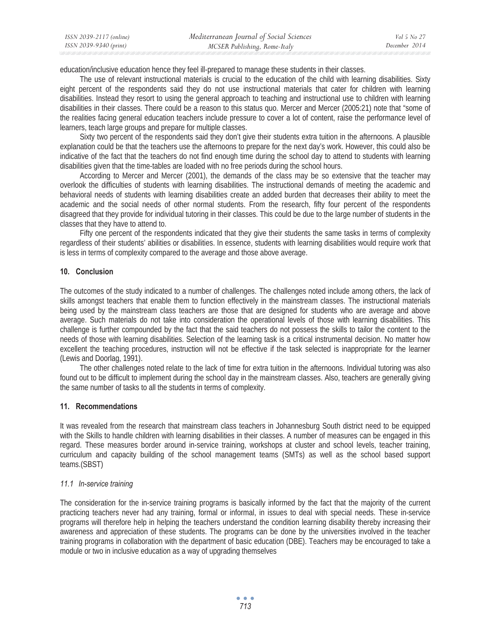| ISSN 2039-2117 (online) | Mediterranean Journal of Social Sciences | Vol 5 No 27   |
|-------------------------|------------------------------------------|---------------|
| ISSN 2039-9340 (print)  | MCSER Publishing, Rome-Italy             | December 2014 |

education/inclusive education hence they feel ill-prepared to manage these students in their classes.

The use of relevant instructional materials is crucial to the education of the child with learning disabilities. Sixty eight percent of the respondents said they do not use instructional materials that cater for children with learning disabilities. Instead they resort to using the general approach to teaching and instructional use to children with learning disabilities in their classes. There could be a reason to this status quo. Mercer and Mercer (2005:21) note that "some of the realities facing general education teachers include pressure to cover a lot of content, raise the performance level of learners, teach large groups and prepare for multiple classes.

Sixty two percent of the respondents said they don't give their students extra tuition in the afternoons. A plausible explanation could be that the teachers use the afternoons to prepare for the next day's work. However, this could also be indicative of the fact that the teachers do not find enough time during the school day to attend to students with learning disabilities given that the time-tables are loaded with no free periods during the school hours.

According to Mercer and Mercer (2001), the demands of the class may be so extensive that the teacher may overlook the difficulties of students with learning disabilities. The instructional demands of meeting the academic and behavioral needs of students with learning disabilities create an added burden that decreases their ability to meet the academic and the social needs of other normal students. From the research, fifty four percent of the respondents disagreed that they provide for individual tutoring in their classes. This could be due to the large number of students in the classes that they have to attend to.

Fifty one percent of the respondents indicated that they give their students the same tasks in terms of complexity regardless of their students' abilities or disabilities. In essence, students with learning disabilities would require work that is less in terms of complexity compared to the average and those above average.

#### **10. Conclusion**

The outcomes of the study indicated to a number of challenges. The challenges noted include among others, the lack of skills amongst teachers that enable them to function effectively in the mainstream classes. The instructional materials being used by the mainstream class teachers are those that are designed for students who are average and above average. Such materials do not take into consideration the operational levels of those with learning disabilities. This challenge is further compounded by the fact that the said teachers do not possess the skills to tailor the content to the needs of those with learning disabilities. Selection of the learning task is a critical instrumental decision. No matter how excellent the teaching procedures, instruction will not be effective if the task selected is inappropriate for the learner (Lewis and Doorlag, 1991).

The other challenges noted relate to the lack of time for extra tuition in the afternoons. Individual tutoring was also found out to be difficult to implement during the school day in the mainstream classes. Also, teachers are generally giving the same number of tasks to all the students in terms of complexity.

#### **11. Recommendations**

It was revealed from the research that mainstream class teachers in Johannesburg South district need to be equipped with the Skills to handle children with learning disabilities in their classes. A number of measures can be engaged in this regard. These measures border around in-service training, workshops at cluster and school levels, teacher training, curriculum and capacity building of the school management teams (SMTs) as well as the school based support teams.(SBST)

#### *11.1 In-service training*

The consideration for the in-service training programs is basically informed by the fact that the majority of the current practicing teachers never had any training, formal or informal, in issues to deal with special needs. These in-service programs will therefore help in helping the teachers understand the condition learning disability thereby increasing their awareness and appreciation of these students. The programs can be done by the universities involved in the teacher training programs in collaboration with the department of basic education (DBE). Teachers may be encouraged to take a module or two in inclusive education as a way of upgrading themselves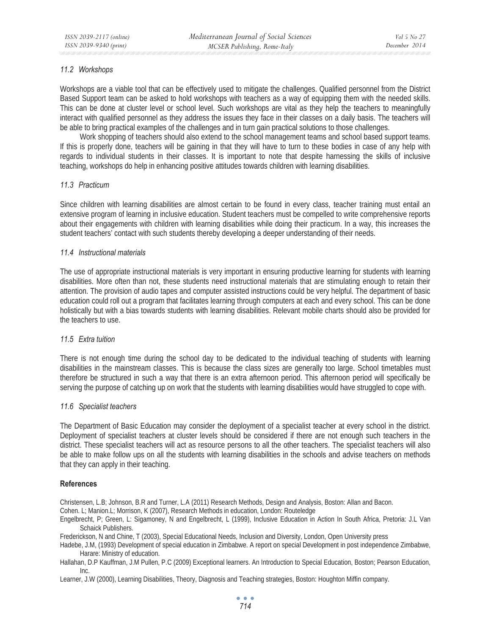## *11.2 Workshops*

Workshops are a viable tool that can be effectively used to mitigate the challenges. Qualified personnel from the District Based Support team can be asked to hold workshops with teachers as a way of equipping them with the needed skills. This can be done at cluster level or school level. Such workshops are vital as they help the teachers to meaningfully interact with qualified personnel as they address the issues they face in their classes on a daily basis. The teachers will be able to bring practical examples of the challenges and in turn gain practical solutions to those challenges.

Work shopping of teachers should also extend to the school management teams and school based support teams. If this is properly done, teachers will be gaining in that they will have to turn to these bodies in case of any help with regards to individual students in their classes. It is important to note that despite harnessing the skills of inclusive teaching, workshops do help in enhancing positive attitudes towards children with learning disabilities.

## *11.3 Practicum*

Since children with learning disabilities are almost certain to be found in every class, teacher training must entail an extensive program of learning in inclusive education. Student teachers must be compelled to write comprehensive reports about their engagements with children with learning disabilities while doing their practicum. In a way, this increases the student teachers' contact with such students thereby developing a deeper understanding of their needs.

## *11.4 Instructional materials*

The use of appropriate instructional materials is very important in ensuring productive learning for students with learning disabilities. More often than not, these students need instructional materials that are stimulating enough to retain their attention. The provision of audio tapes and computer assisted instructions could be very helpful. The department of basic education could roll out a program that facilitates learning through computers at each and every school. This can be done holistically but with a bias towards students with learning disabilities. Relevant mobile charts should also be provided for the teachers to use.

## *11.5 Extra tuition*

There is not enough time during the school day to be dedicated to the individual teaching of students with learning disabilities in the mainstream classes. This is because the class sizes are generally too large. School timetables must therefore be structured in such a way that there is an extra afternoon period. This afternoon period will specifically be serving the purpose of catching up on work that the students with learning disabilities would have struggled to cope with.

## *11.6 Specialist teachers*

The Department of Basic Education may consider the deployment of a specialist teacher at every school in the district. Deployment of specialist teachers at cluster levels should be considered if there are not enough such teachers in the district. These specialist teachers will act as resource persons to all the other teachers. The specialist teachers will also be able to make follow ups on all the students with learning disabilities in the schools and advise teachers on methods that they can apply in their teaching.

## **References**

Christensen, L.B; Johnson, B.R and Turner, L.A (2011) Research Methods, Design and Analysis, Boston: Allan and Bacon.

- Cohen. L; Manion.L; Morrison, K (2007), Research Methods in education, London: Routeledge
- Engelbrecht, P; Green, L: Sigamoney, N and Engelbrecht, L (1999), Inclusive Education in Action In South Africa, Pretoria: J.L Van Schaick Publishers.
- Frederickson, N and Chine, T (2003), Special Educational Needs, Inclusion and Diversity, London, Open University press

Hadebe, J.M, (1993) Development of special education in Zimbabwe. A report on special Development in post independence Zimbabwe, Harare: Ministry of education.

Hallahan, D.P Kauffman, J.M Pullen, P.C (2009) Exceptional learners. An Introduction to Special Education, Boston; Pearson Education, Inc.

Learner, J.W (2000), Learning Disabilities, Theory, Diagnosis and Teaching strategies, Boston: Houghton Miffin company.